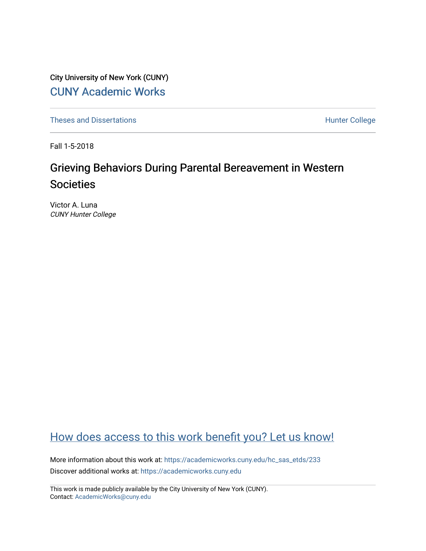City University of New York (CUNY) [CUNY Academic Works](https://academicworks.cuny.edu/) 

[Theses and Dissertations](https://academicworks.cuny.edu/hc_sas_etds) **Hunter College** 

Fall 1-5-2018

# Grieving Behaviors During Parental Bereavement in Western Societies

Victor A. Luna CUNY Hunter College

# [How does access to this work benefit you? Let us know!](http://ols.cuny.edu/academicworks/?ref=https://academicworks.cuny.edu/hc_sas_etds/233)

More information about this work at: [https://academicworks.cuny.edu/hc\\_sas\\_etds/233](https://academicworks.cuny.edu/hc_sas_etds/233)  Discover additional works at: [https://academicworks.cuny.edu](https://academicworks.cuny.edu/?)

This work is made publicly available by the City University of New York (CUNY). Contact: [AcademicWorks@cuny.edu](mailto:AcademicWorks@cuny.edu)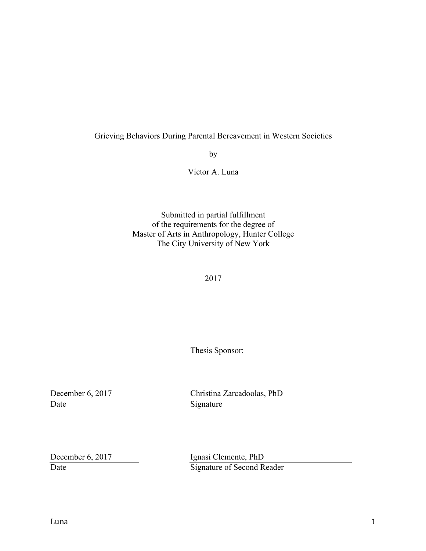# Grieving Behaviors During Parental Bereavement in Western Societies

by

Víctor A. Luna

Submitted in partial fulfillment of the requirements for the degree of Master of Arts in Anthropology, Hunter College The City University of New York

2017

Thesis Sponsor:

Date Signature

December 6, 2017 Christina Zarcadoolas, PhD

December 6, 2017 Ignasi Clemente, PhD Date Signature of Second Reader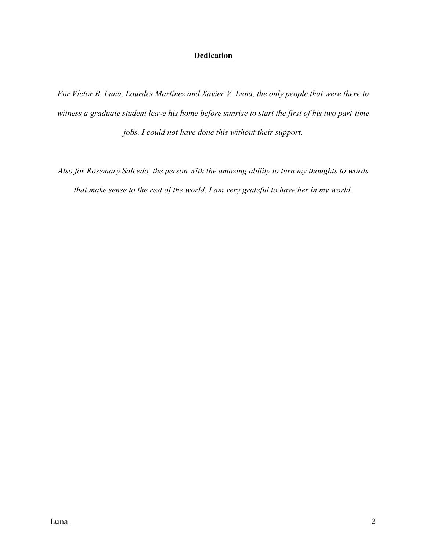# **Dedication**

*For Víctor R. Luna, Lourdes Martínez and Xavier V. Luna, the only people that were there to witness a graduate student leave his home before sunrise to start the first of his two part-time jobs. I could not have done this without their support.*

*Also for Rosemary Salcedo, the person with the amazing ability to turn my thoughts to words that make sense to the rest of the world. I am very grateful to have her in my world.*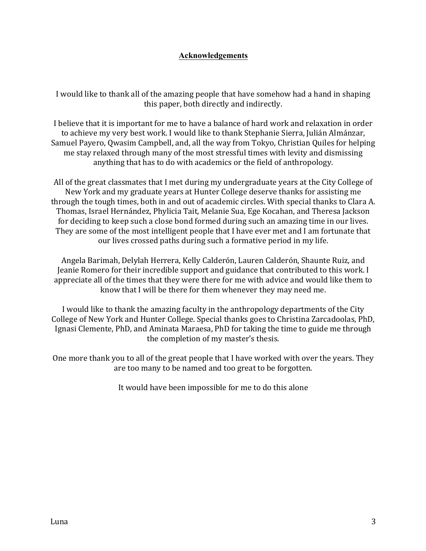# **Acknowledgements**

I would like to thank all of the amazing people that have somehow had a hand in shaping this paper, both directly and indirectly.

I believe that it is important for me to have a balance of hard work and relaxation in order to achieve my very best work. I would like to thank Stephanie Sierra, Julián Almánzar, Samuel Payero, Qwasim Campbell, and, all the way from Tokyo, Christian Quiles for helping me stay relaxed through many of the most stressful times with levity and dismissing anything that has to do with academics or the field of anthropology.

All of the great classmates that I met during my undergraduate years at the City College of New York and my graduate years at Hunter College deserve thanks for assisting me through the tough times, both in and out of academic circles. With special thanks to Clara A. Thomas, Israel Hernández, Phylicia Tait, Melanie Sua, Ege Kocahan, and Theresa Jackson for deciding to keep such a close bond formed during such an amazing time in our lives. They are some of the most intelligent people that I have ever met and I am fortunate that our lives crossed paths during such a formative period in my life.

Angela Barimah, Delylah Herrera, Kelly Calderón, Lauren Calderón, Shaunte Ruiz, and Jeanie Romero for their incredible support and guidance that contributed to this work. I appreciate all of the times that they were there for me with advice and would like them to know that I will be there for them whenever they may need me.

I would like to thank the amazing faculty in the anthropology departments of the City College of New York and Hunter College. Special thanks goes to Christina Zarcadoolas, PhD, Ignasi Clemente, PhD, and Aminata Maraesa, PhD for taking the time to guide me through the completion of my master's thesis.

One more thank you to all of the great people that I have worked with over the years. They are too many to be named and too great to be forgotten.

It would have been impossible for me to do this alone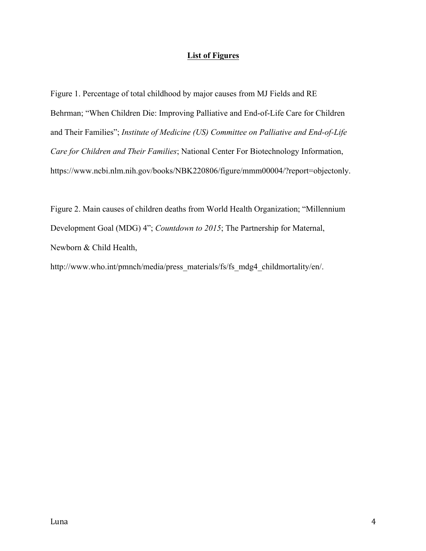# **List of Figures**

Figure 1. Percentage of total childhood by major causes from MJ Fields and RE Behrman; "When Children Die: Improving Palliative and End-of-Life Care for Children and Their Families"; *Institute of Medicine (US) Committee on Palliative and End-of-Life Care for Children and Their Families*; National Center For Biotechnology Information, https://www.ncbi.nlm.nih.gov/books/NBK220806/figure/mmm00004/?report=objectonly.

Figure 2. Main causes of children deaths from World Health Organization; "Millennium Development Goal (MDG) 4"; *Countdown to 2015*; The Partnership for Maternal, Newborn & Child Health,

http://www.who.int/pmnch/media/press\_materials/fs/fs\_mdg4\_childmortality/en/.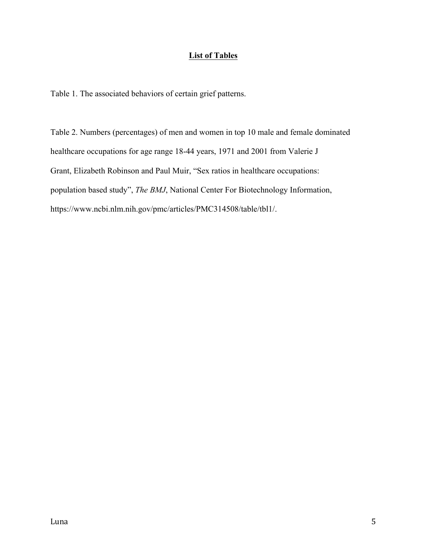# **List of Tables**

Table 1. The associated behaviors of certain grief patterns.

Table 2. Numbers (percentages) of men and women in top 10 male and female dominated healthcare occupations for age range 18-44 years, 1971 and 2001 from Valerie J Grant, Elizabeth Robinson and Paul Muir, "Sex ratios in healthcare occupations: population based study", *The BMJ*, National Center For Biotechnology Information, https://www.ncbi.nlm.nih.gov/pmc/articles/PMC314508/table/tbl1/.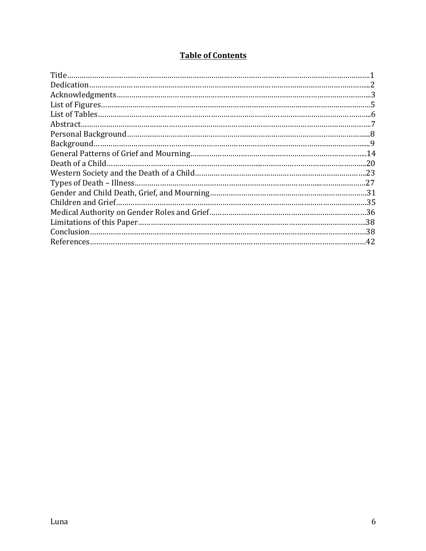# **Table of Contents**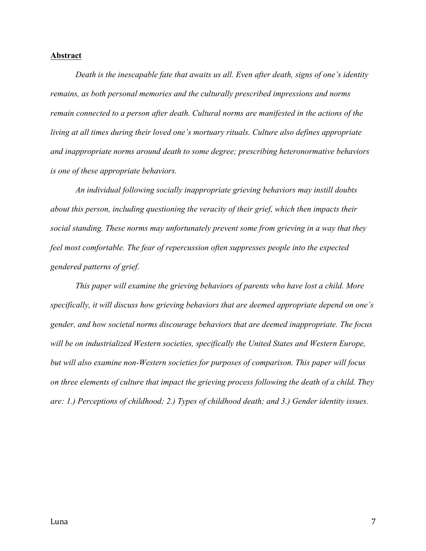#### **Abstract**

*Death is the inescapable fate that awaits us all. Even after death, signs of one's identity remains, as both personal memories and the culturally prescribed impressions and norms remain connected to a person after death. Cultural norms are manifested in the actions of the living at all times during their loved one's mortuary rituals. Culture also defines appropriate and inappropriate norms around death to some degree; prescribing heteronormative behaviors is one of these appropriate behaviors.*

*An individual following socially inappropriate grieving behaviors may instill doubts about this person, including questioning the veracity of their grief, which then impacts their social standing. These norms may unfortunately prevent some from grieving in a way that they feel most comfortable. The fear of repercussion often suppresses people into the expected gendered patterns of grief.*

*This paper will examine the grieving behaviors of parents who have lost a child. More specifically, it will discuss how grieving behaviors that are deemed appropriate depend on one's gender, and how societal norms discourage behaviors that are deemed inappropriate. The focus will be on industrialized Western societies, specifically the United States and Western Europe, but will also examine non-Western societies for purposes of comparison. This paper will focus on three elements of culture that impact the grieving process following the death of a child. They are: 1.) Perceptions of childhood; 2.) Types of childhood death; and 3.) Gender identity issues.*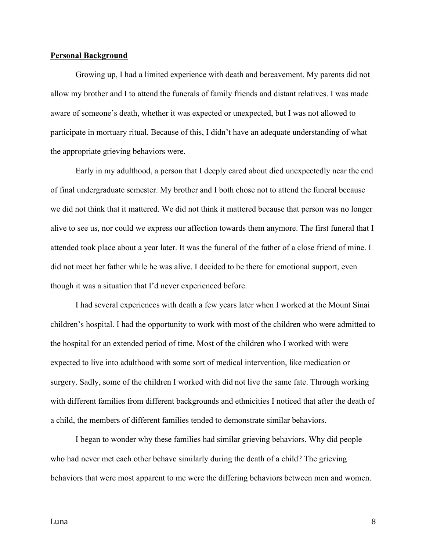#### **Personal Background**

Growing up, I had a limited experience with death and bereavement. My parents did not allow my brother and I to attend the funerals of family friends and distant relatives. I was made aware of someone's death, whether it was expected or unexpected, but I was not allowed to participate in mortuary ritual. Because of this, I didn't have an adequate understanding of what the appropriate grieving behaviors were.

Early in my adulthood, a person that I deeply cared about died unexpectedly near the end of final undergraduate semester. My brother and I both chose not to attend the funeral because we did not think that it mattered. We did not think it mattered because that person was no longer alive to see us, nor could we express our affection towards them anymore. The first funeral that I attended took place about a year later. It was the funeral of the father of a close friend of mine. I did not meet her father while he was alive. I decided to be there for emotional support, even though it was a situation that I'd never experienced before.

I had several experiences with death a few years later when I worked at the Mount Sinai children's hospital. I had the opportunity to work with most of the children who were admitted to the hospital for an extended period of time. Most of the children who I worked with were expected to live into adulthood with some sort of medical intervention, like medication or surgery. Sadly, some of the children I worked with did not live the same fate. Through working with different families from different backgrounds and ethnicities I noticed that after the death of a child, the members of different families tended to demonstrate similar behaviors.

I began to wonder why these families had similar grieving behaviors. Why did people who had never met each other behave similarly during the death of a child? The grieving behaviors that were most apparent to me were the differing behaviors between men and women.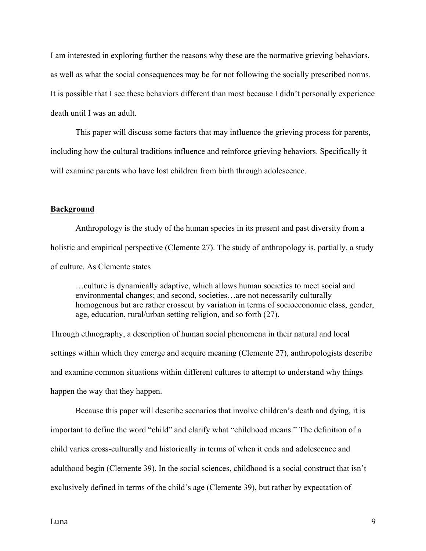I am interested in exploring further the reasons why these are the normative grieving behaviors, as well as what the social consequences may be for not following the socially prescribed norms. It is possible that I see these behaviors different than most because I didn't personally experience death until I was an adult.

This paper will discuss some factors that may influence the grieving process for parents, including how the cultural traditions influence and reinforce grieving behaviors. Specifically it will examine parents who have lost children from birth through adolescence.

#### **Background**

Anthropology is the study of the human species in its present and past diversity from a holistic and empirical perspective (Clemente 27). The study of anthropology is, partially, a study of culture. As Clemente states

…culture is dynamically adaptive, which allows human societies to meet social and environmental changes; and second, societies…are not necessarily culturally homogenous but are rather crosscut by variation in terms of socioeconomic class, gender, age, education, rural/urban setting religion, and so forth (27).

Through ethnography, a description of human social phenomena in their natural and local settings within which they emerge and acquire meaning (Clemente 27), anthropologists describe and examine common situations within different cultures to attempt to understand why things happen the way that they happen.

Because this paper will describe scenarios that involve children's death and dying, it is important to define the word "child" and clarify what "childhood means." The definition of a child varies cross-culturally and historically in terms of when it ends and adolescence and adulthood begin (Clemente 39). In the social sciences, childhood is a social construct that isn't exclusively defined in terms of the child's age (Clemente 39), but rather by expectation of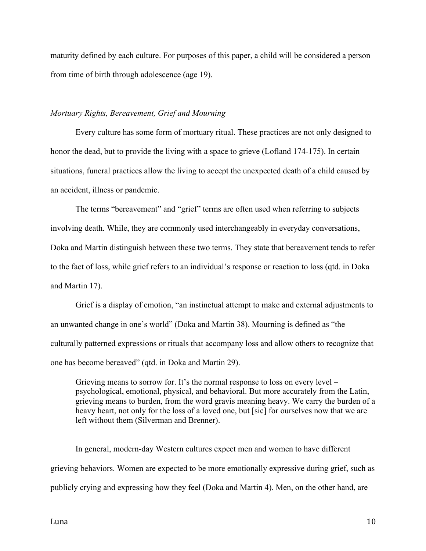maturity defined by each culture. For purposes of this paper, a child will be considered a person from time of birth through adolescence (age 19).

#### *Mortuary Rights, Bereavement, Grief and Mourning*

Every culture has some form of mortuary ritual. These practices are not only designed to honor the dead, but to provide the living with a space to grieve (Lofland 174-175). In certain situations, funeral practices allow the living to accept the unexpected death of a child caused by an accident, illness or pandemic.

The terms "bereavement" and "grief" terms are often used when referring to subjects involving death. While, they are commonly used interchangeably in everyday conversations, Doka and Martin distinguish between these two terms. They state that bereavement tends to refer to the fact of loss, while grief refers to an individual's response or reaction to loss (qtd. in Doka and Martin 17).

Grief is a display of emotion, "an instinctual attempt to make and external adjustments to an unwanted change in one's world" (Doka and Martin 38). Mourning is defined as "the culturally patterned expressions or rituals that accompany loss and allow others to recognize that one has become bereaved" (qtd. in Doka and Martin 29).

Grieving means to sorrow for. It's the normal response to loss on every level – psychological, emotional, physical, and behavioral. But more accurately from the Latin, grieving means to burden, from the word gravis meaning heavy. We carry the burden of a heavy heart, not only for the loss of a loved one, but [sic] for ourselves now that we are left without them (Silverman and Brenner).

In general, modern-day Western cultures expect men and women to have different grieving behaviors. Women are expected to be more emotionally expressive during grief, such as publicly crying and expressing how they feel (Doka and Martin 4). Men, on the other hand, are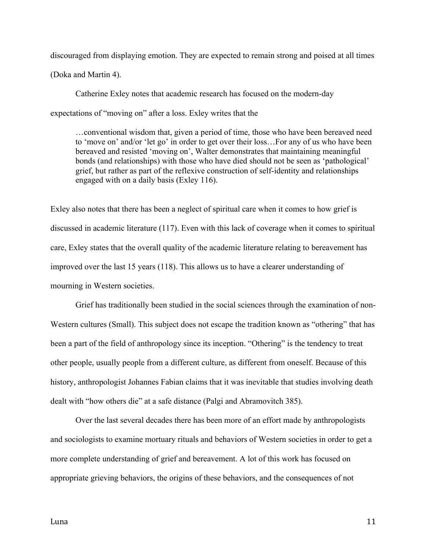discouraged from displaying emotion. They are expected to remain strong and poised at all times (Doka and Martin 4).

Catherine Exley notes that academic research has focused on the modern-day expectations of "moving on" after a loss. Exley writes that the

…conventional wisdom that, given a period of time, those who have been bereaved need to 'move on' and/or 'let go' in order to get over their loss…For any of us who have been bereaved and resisted 'moving on', Walter demonstrates that maintaining meaningful bonds (and relationships) with those who have died should not be seen as 'pathological' grief, but rather as part of the reflexive construction of self-identity and relationships engaged with on a daily basis (Exley 116).

Exley also notes that there has been a neglect of spiritual care when it comes to how grief is discussed in academic literature (117). Even with this lack of coverage when it comes to spiritual care, Exley states that the overall quality of the academic literature relating to bereavement has improved over the last 15 years (118). This allows us to have a clearer understanding of mourning in Western societies.

Grief has traditionally been studied in the social sciences through the examination of non-Western cultures (Small). This subject does not escape the tradition known as "othering" that has been a part of the field of anthropology since its inception. "Othering" is the tendency to treat other people, usually people from a different culture, as different from oneself. Because of this history, anthropologist Johannes Fabian claims that it was inevitable that studies involving death dealt with "how others die" at a safe distance (Palgi and Abramovitch 385).

Over the last several decades there has been more of an effort made by anthropologists and sociologists to examine mortuary rituals and behaviors of Western societies in order to get a more complete understanding of grief and bereavement. A lot of this work has focused on appropriate grieving behaviors, the origins of these behaviors, and the consequences of not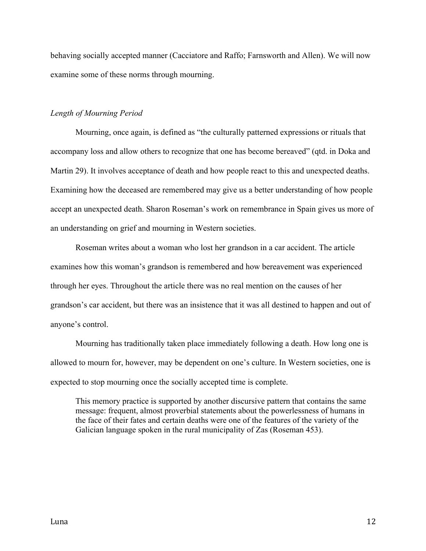behaving socially accepted manner (Cacciatore and Raffo; Farnsworth and Allen). We will now examine some of these norms through mourning.

#### *Length of Mourning Period*

Mourning, once again, is defined as "the culturally patterned expressions or rituals that accompany loss and allow others to recognize that one has become bereaved" (qtd. in Doka and Martin 29). It involves acceptance of death and how people react to this and unexpected deaths. Examining how the deceased are remembered may give us a better understanding of how people accept an unexpected death. Sharon Roseman's work on remembrance in Spain gives us more of an understanding on grief and mourning in Western societies.

Roseman writes about a woman who lost her grandson in a car accident. The article examines how this woman's grandson is remembered and how bereavement was experienced through her eyes. Throughout the article there was no real mention on the causes of her grandson's car accident, but there was an insistence that it was all destined to happen and out of anyone's control.

Mourning has traditionally taken place immediately following a death. How long one is allowed to mourn for, however, may be dependent on one's culture. In Western societies, one is expected to stop mourning once the socially accepted time is complete.

This memory practice is supported by another discursive pattern that contains the same message: frequent, almost proverbial statements about the powerlessness of humans in the face of their fates and certain deaths were one of the features of the variety of the Galician language spoken in the rural municipality of Zas (Roseman 453).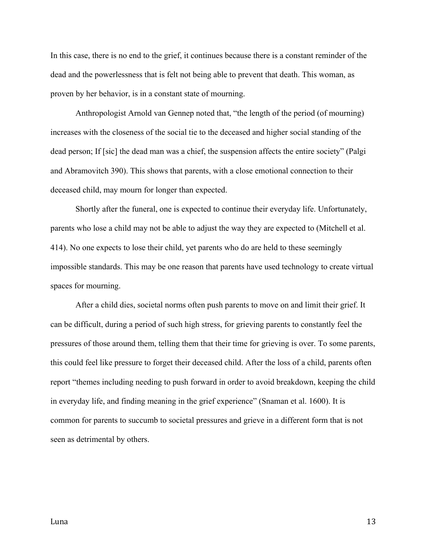In this case, there is no end to the grief, it continues because there is a constant reminder of the dead and the powerlessness that is felt not being able to prevent that death. This woman, as proven by her behavior, is in a constant state of mourning.

Anthropologist Arnold van Gennep noted that, "the length of the period (of mourning) increases with the closeness of the social tie to the deceased and higher social standing of the dead person; If [sic] the dead man was a chief, the suspension affects the entire society" (Palgi and Abramovitch 390). This shows that parents, with a close emotional connection to their deceased child, may mourn for longer than expected.

Shortly after the funeral, one is expected to continue their everyday life. Unfortunately, parents who lose a child may not be able to adjust the way they are expected to (Mitchell et al. 414). No one expects to lose their child, yet parents who do are held to these seemingly impossible standards. This may be one reason that parents have used technology to create virtual spaces for mourning.

After a child dies, societal norms often push parents to move on and limit their grief. It can be difficult, during a period of such high stress, for grieving parents to constantly feel the pressures of those around them, telling them that their time for grieving is over. To some parents, this could feel like pressure to forget their deceased child. After the loss of a child, parents often report "themes including needing to push forward in order to avoid breakdown, keeping the child in everyday life, and finding meaning in the grief experience" (Snaman et al. 1600). It is common for parents to succumb to societal pressures and grieve in a different form that is not seen as detrimental by others.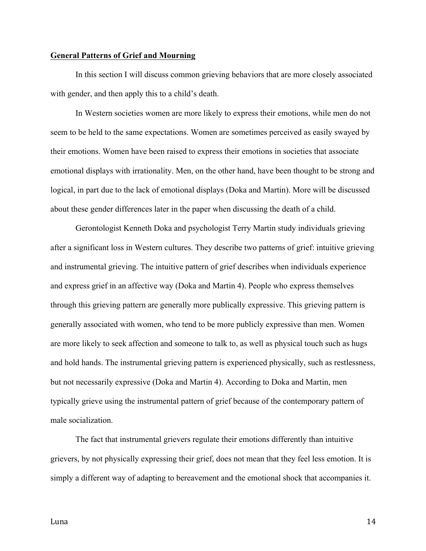#### **General Patterns of Grief and Mourning**

In this section I will discuss common grieving behaviors that are more closely associated with gender, and then apply this to a child's death.

In Western societies women are more likely to express their emotions, while men do not seem to be held to the same expectations. Women are sometimes perceived as easily swayed by their emotions. Women have been raised to express their emotions in societies that associate emotional displays with irrationality. Men, on the other hand, have been thought to be strong and logical, in part due to the lack of emotional displays (Doka and Martin). More will be discussed about these gender differences later in the paper when discussing the death of a child.

Gerontologist Kenneth Doka and psychologist Terry Martin study individuals grieving after a significant loss in Western cultures. They describe two patterns of grief: intuitive grieving and instrumental grieving. The intuitive pattern of grief describes when individuals experience and express grief in an affective way (Doka and Martin 4). People who express themselves through this grieving pattern are generally more publically expressive. This grieving pattern is generally associated with women, who tend to be more publicly expressive than men. Women are more likely to seek affection and someone to talk to, as well as physical touch such as hugs and hold hands. The instrumental grieving pattern is experienced physically, such as restlessness, but not necessarily expressive (Doka and Martin 4). According to Doka and Martin, men typically grieve using the instrumental pattern of grief because of the contemporary pattern of male socialization.

The fact that instrumental grievers regulate their emotions differently than intuitive grievers, by not physically expressing their grief, does not mean that they feel less emotion. It is simply a different way of adapting to bereavement and the emotional shock that accompanies it.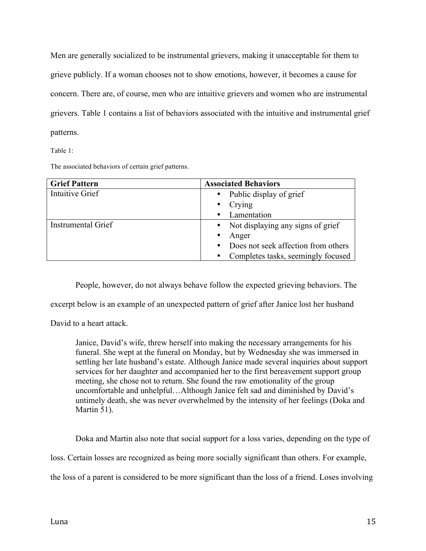Men are generally socialized to be instrumental grievers, making it unacceptable for them to grieve publicly. If a woman chooses not to show emotions, however, it becomes a cause for concern. There are, of course, men who are intuitive grievers and women who are instrumental grievers. Table 1 contains a list of behaviors associated with the intuitive and instrumental grief patterns.

Table 1:

The associated behaviors of certain grief patterns.

| <b>Grief Pattern</b> | <b>Associated Behaviors</b>                      |
|----------------------|--------------------------------------------------|
| Intuitive Grief      | Public display of grief<br>$\bullet$             |
|                      | Crying<br>$\bullet$                              |
|                      | Lamentation<br>$\bullet$                         |
| Instrumental Grief   | • Not displaying any signs of grief              |
|                      | Anger<br>$\bullet$                               |
|                      | Does not seek affection from others<br>$\bullet$ |
|                      | Completes tasks, seemingly focused<br>$\bullet$  |

People, however, do not always behave follow the expected grieving behaviors. The

excerpt below is an example of an unexpected pattern of grief after Janice lost her husband

David to a heart attack.

Janice, David's wife, threw herself into making the necessary arrangements for his funeral. She wept at the funeral on Monday, but by Wednesday she was immersed in settling her late husband's estate. Although Janice made several inquiries about support services for her daughter and accompanied her to the first bereavement support group meeting, she chose not to return. She found the raw emotionality of the group uncomfortable and unhelpful…Although Janice felt sad and diminished by David's untimely death, she was never overwhelmed by the intensity of her feelings (Doka and Martin 51).

Doka and Martin also note that social support for a loss varies, depending on the type of

loss. Certain losses are recognized as being more socially significant than others. For example,

the loss of a parent is considered to be more significant than the loss of a friend. Loses involving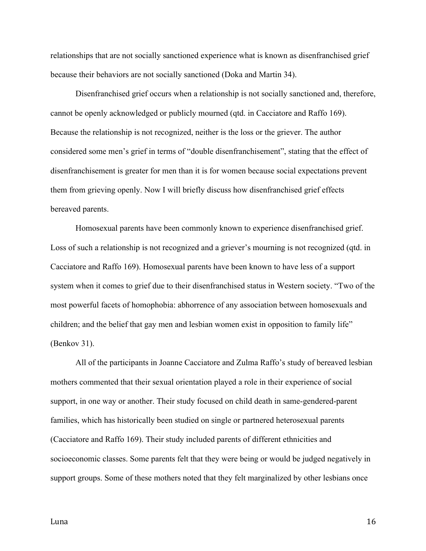relationships that are not socially sanctioned experience what is known as disenfranchised grief because their behaviors are not socially sanctioned (Doka and Martin 34).

Disenfranchised grief occurs when a relationship is not socially sanctioned and, therefore, cannot be openly acknowledged or publicly mourned (qtd. in Cacciatore and Raffo 169). Because the relationship is not recognized, neither is the loss or the griever. The author considered some men's grief in terms of "double disenfranchisement", stating that the effect of disenfranchisement is greater for men than it is for women because social expectations prevent them from grieving openly. Now I will briefly discuss how disenfranchised grief effects bereaved parents.

Homosexual parents have been commonly known to experience disenfranchised grief. Loss of such a relationship is not recognized and a griever's mourning is not recognized (qtd. in Cacciatore and Raffo 169). Homosexual parents have been known to have less of a support system when it comes to grief due to their disenfranchised status in Western society. "Two of the most powerful facets of homophobia: abhorrence of any association between homosexuals and children; and the belief that gay men and lesbian women exist in opposition to family life" (Benkov 31).

All of the participants in Joanne Cacciatore and Zulma Raffo's study of bereaved lesbian mothers commented that their sexual orientation played a role in their experience of social support, in one way or another. Their study focused on child death in same-gendered-parent families, which has historically been studied on single or partnered heterosexual parents (Cacciatore and Raffo 169). Their study included parents of different ethnicities and socioeconomic classes. Some parents felt that they were being or would be judged negatively in support groups. Some of these mothers noted that they felt marginalized by other lesbians once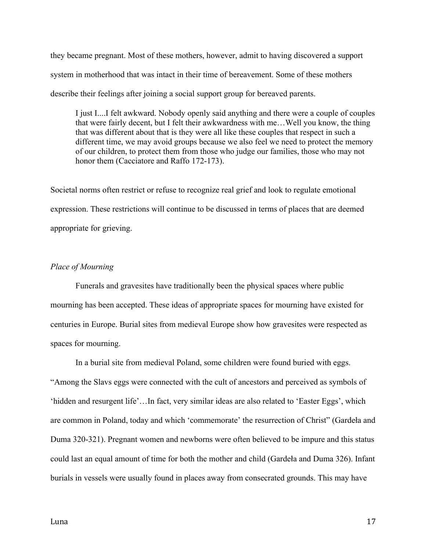they became pregnant. Most of these mothers, however, admit to having discovered a support system in motherhood that was intact in their time of bereavement. Some of these mothers describe their feelings after joining a social support group for bereaved parents.

I just I....I felt awkward. Nobody openly said anything and there were a couple of couples that were fairly decent, but I felt their awkwardness with me…Well you know, the thing that was different about that is they were all like these couples that respect in such a different time, we may avoid groups because we also feel we need to protect the memory of our children, to protect them from those who judge our families, those who may not honor them (Cacciatore and Raffo 172-173).

Societal norms often restrict or refuse to recognize real grief and look to regulate emotional expression. These restrictions will continue to be discussed in terms of places that are deemed appropriate for grieving.

### *Place of Mourning*

Funerals and gravesites have traditionally been the physical spaces where public mourning has been accepted. These ideas of appropriate spaces for mourning have existed for centuries in Europe. Burial sites from medieval Europe show how gravesites were respected as spaces for mourning.

In a burial site from medieval Poland, some children were found buried with eggs. "Among the Slavs eggs were connected with the cult of ancestors and perceived as symbols of 'hidden and resurgent life'…In fact, very similar ideas are also related to 'Easter Eggs', which are common in Poland, today and which 'commemorate' the resurrection of Christ" (Gardeła and Duma 320-321). Pregnant women and newborns were often believed to be impure and this status could last an equal amount of time for both the mother and child (Gardeła and Duma 326). Infant burials in vessels were usually found in places away from consecrated grounds. This may have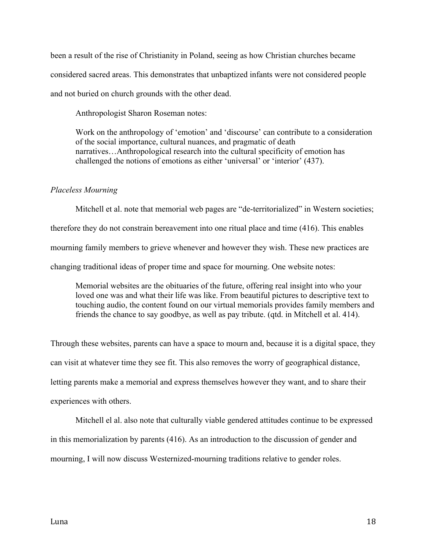been a result of the rise of Christianity in Poland, seeing as how Christian churches became considered sacred areas. This demonstrates that unbaptized infants were not considered people and not buried on church grounds with the other dead.

Anthropologist Sharon Roseman notes:

Work on the anthropology of 'emotion' and 'discourse' can contribute to a consideration of the social importance, cultural nuances, and pragmatic of death narratives…Anthropological research into the cultural specificity of emotion has challenged the notions of emotions as either 'universal' or 'interior' (437).

# *Placeless Mourning*

Mitchell et al. note that memorial web pages are "de-territorialized" in Western societies; therefore they do not constrain bereavement into one ritual place and time (416). This enables mourning family members to grieve whenever and however they wish. These new practices are changing traditional ideas of proper time and space for mourning. One website notes:

Memorial websites are the obituaries of the future, offering real insight into who your loved one was and what their life was like. From beautiful pictures to descriptive text to touching audio, the content found on our virtual memorials provides family members and friends the chance to say goodbye, as well as pay tribute. (qtd. in Mitchell et al. 414).

Through these websites, parents can have a space to mourn and, because it is a digital space, they can visit at whatever time they see fit. This also removes the worry of geographical distance, letting parents make a memorial and express themselves however they want, and to share their experiences with others.

Mitchell el al. also note that culturally viable gendered attitudes continue to be expressed in this memorialization by parents (416). As an introduction to the discussion of gender and mourning, I will now discuss Westernized-mourning traditions relative to gender roles.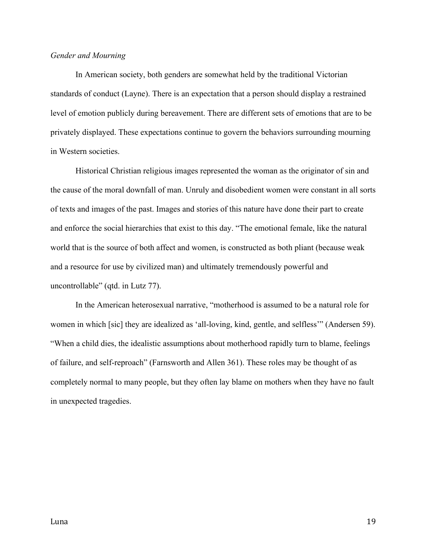## *Gender and Mourning*

In American society, both genders are somewhat held by the traditional Victorian standards of conduct (Layne). There is an expectation that a person should display a restrained level of emotion publicly during bereavement. There are different sets of emotions that are to be privately displayed. These expectations continue to govern the behaviors surrounding mourning in Western societies.

Historical Christian religious images represented the woman as the originator of sin and the cause of the moral downfall of man. Unruly and disobedient women were constant in all sorts of texts and images of the past. Images and stories of this nature have done their part to create and enforce the social hierarchies that exist to this day. "The emotional female, like the natural world that is the source of both affect and women, is constructed as both pliant (because weak and a resource for use by civilized man) and ultimately tremendously powerful and uncontrollable" (qtd. in Lutz 77).

In the American heterosexual narrative, "motherhood is assumed to be a natural role for women in which [sic] they are idealized as 'all-loving, kind, gentle, and selfless'" (Andersen 59). "When a child dies, the idealistic assumptions about motherhood rapidly turn to blame, feelings of failure, and self-reproach" (Farnsworth and Allen 361). These roles may be thought of as completely normal to many people, but they often lay blame on mothers when they have no fault in unexpected tragedies.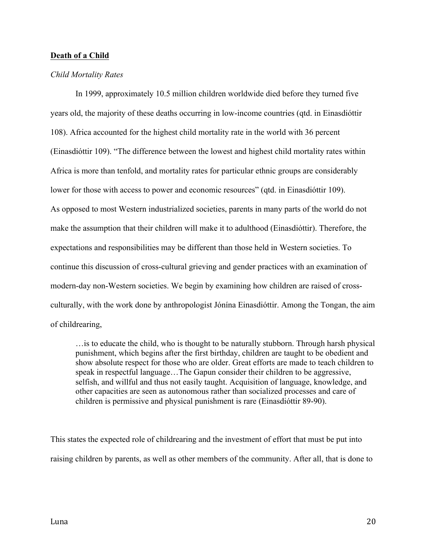# **Death of a Child**

#### *Child Mortality Rates*

In 1999, approximately 10.5 million children worldwide died before they turned five years old, the majority of these deaths occurring in low-income countries (qtd. in Einasdióttir 108). Africa accounted for the highest child mortality rate in the world with 36 percent (Einasdióttir 109). "The difference between the lowest and highest child mortality rates within Africa is more than tenfold, and mortality rates for particular ethnic groups are considerably lower for those with access to power and economic resources" (qtd. in Einasdióttir 109). As opposed to most Western industrialized societies, parents in many parts of the world do not make the assumption that their children will make it to adulthood (Einasdióttir). Therefore, the expectations and responsibilities may be different than those held in Western societies. To continue this discussion of cross-cultural grieving and gender practices with an examination of modern-day non-Western societies. We begin by examining how children are raised of crossculturally, with the work done by anthropologist Jónína Einasdióttir. Among the Tongan, the aim of childrearing,

…is to educate the child, who is thought to be naturally stubborn. Through harsh physical punishment, which begins after the first birthday, children are taught to be obedient and show absolute respect for those who are older. Great efforts are made to teach children to speak in respectful language…The Gapun consider their children to be aggressive, selfish, and willful and thus not easily taught. Acquisition of language, knowledge, and other capacities are seen as autonomous rather than socialized processes and care of children is permissive and physical punishment is rare (Einasdióttir 89-90).

This states the expected role of childrearing and the investment of effort that must be put into raising children by parents, as well as other members of the community. After all, that is done to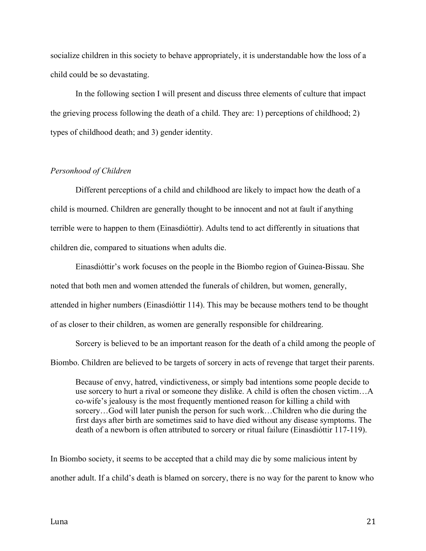socialize children in this society to behave appropriately, it is understandable how the loss of a child could be so devastating.

In the following section I will present and discuss three elements of culture that impact the grieving process following the death of a child. They are: 1) perceptions of childhood; 2) types of childhood death; and 3) gender identity.

#### *Personhood of Children*

Different perceptions of a child and childhood are likely to impact how the death of a child is mourned. Children are generally thought to be innocent and not at fault if anything terrible were to happen to them (Einasdióttir). Adults tend to act differently in situations that children die, compared to situations when adults die.

Einasdióttir's work focuses on the people in the Biombo region of Guinea-Bissau. She noted that both men and women attended the funerals of children, but women, generally, attended in higher numbers (Einasdióttir 114). This may be because mothers tend to be thought of as closer to their children, as women are generally responsible for childrearing.

Sorcery is believed to be an important reason for the death of a child among the people of Biombo. Children are believed to be targets of sorcery in acts of revenge that target their parents.

Because of envy, hatred, vindictiveness, or simply bad intentions some people decide to use sorcery to hurt a rival or someone they dislike. A child is often the chosen victim…A co-wife's jealousy is the most frequently mentioned reason for killing a child with sorcery…God will later punish the person for such work…Children who die during the first days after birth are sometimes said to have died without any disease symptoms. The death of a newborn is often attributed to sorcery or ritual failure (Einasdióttir 117-119).

In Biombo society, it seems to be accepted that a child may die by some malicious intent by another adult. If a child's death is blamed on sorcery, there is no way for the parent to know who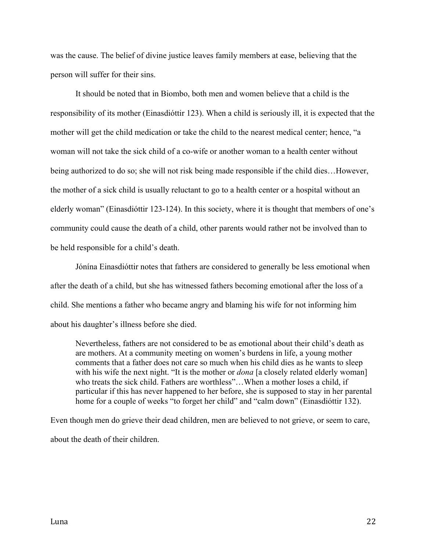was the cause. The belief of divine justice leaves family members at ease, believing that the person will suffer for their sins.

It should be noted that in Biombo, both men and women believe that a child is the responsibility of its mother (Einasdióttir 123). When a child is seriously ill, it is expected that the mother will get the child medication or take the child to the nearest medical center; hence, "a woman will not take the sick child of a co-wife or another woman to a health center without being authorized to do so; she will not risk being made responsible if the child dies…However, the mother of a sick child is usually reluctant to go to a health center or a hospital without an elderly woman" (Einasdióttir 123-124). In this society, where it is thought that members of one's community could cause the death of a child, other parents would rather not be involved than to be held responsible for a child's death.

Jónína Einasdióttir notes that fathers are considered to generally be less emotional when after the death of a child, but she has witnessed fathers becoming emotional after the loss of a child. She mentions a father who became angry and blaming his wife for not informing him about his daughter's illness before she died.

Nevertheless, fathers are not considered to be as emotional about their child's death as are mothers. At a community meeting on women's burdens in life, a young mother comments that a father does not care so much when his child dies as he wants to sleep with his wife the next night. "It is the mother or *dona* [a closely related elderly woman] who treats the sick child. Fathers are worthless"...When a mother loses a child, if particular if this has never happened to her before, she is supposed to stay in her parental home for a couple of weeks "to forget her child" and "calm down" (Einasdióttir 132).

Even though men do grieve their dead children, men are believed to not grieve, or seem to care, about the death of their children.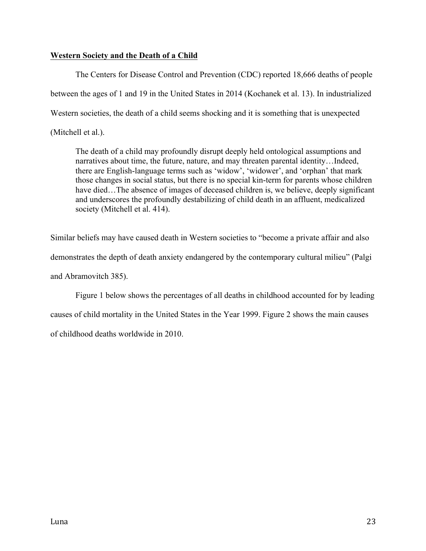# **Western Society and the Death of a Child**

The Centers for Disease Control and Prevention (CDC) reported 18,666 deaths of people between the ages of 1 and 19 in the United States in 2014 (Kochanek et al. 13). In industrialized Western societies, the death of a child seems shocking and it is something that is unexpected (Mitchell et al.).

The death of a child may profoundly disrupt deeply held ontological assumptions and narratives about time, the future, nature, and may threaten parental identity...Indeed, there are English-language terms such as 'widow', 'widower', and 'orphan' that mark those changes in social status, but there is no special kin-term for parents whose children have died...The absence of images of deceased children is, we believe, deeply significant and underscores the profoundly destabilizing of child death in an affluent, medicalized society (Mitchell et al. 414).

Similar beliefs may have caused death in Western societies to "become a private affair and also demonstrates the depth of death anxiety endangered by the contemporary cultural milieu" (Palgi and Abramovitch 385).

Figure 1 below shows the percentages of all deaths in childhood accounted for by leading causes of child mortality in the United States in the Year 1999. Figure 2 shows the main causes of childhood deaths worldwide in 2010.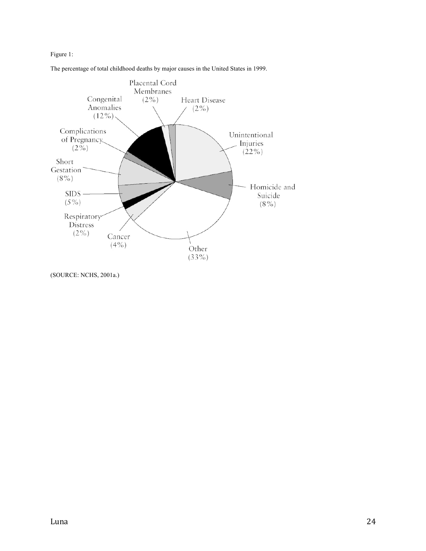Figure 1:





<sup>(</sup>SOURCE: NCHS, 2001a.)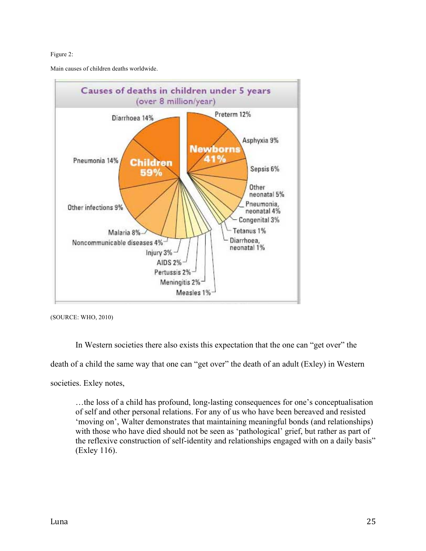#### Figure 2:

Main causes of children deaths worldwide.



(SOURCE: WHO, 2010)

In Western societies there also exists this expectation that the one can "get over" the

death of a child the same way that one can "get over" the death of an adult (Exley) in Western

societies. Exley notes,

…the loss of a child has profound, long-lasting consequences for one's conceptualisation of self and other personal relations. For any of us who have been bereaved and resisted 'moving on', Walter demonstrates that maintaining meaningful bonds (and relationships) with those who have died should not be seen as 'pathological' grief, but rather as part of the reflexive construction of self-identity and relationships engaged with on a daily basis" (Exley 116).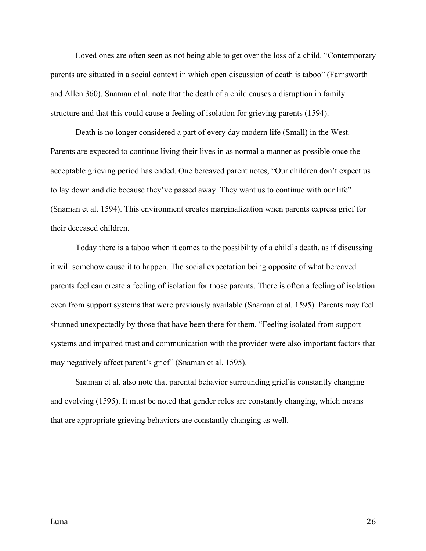Loved ones are often seen as not being able to get over the loss of a child. "Contemporary parents are situated in a social context in which open discussion of death is taboo" (Farnsworth and Allen 360). Snaman et al. note that the death of a child causes a disruption in family structure and that this could cause a feeling of isolation for grieving parents (1594).

Death is no longer considered a part of every day modern life (Small) in the West. Parents are expected to continue living their lives in as normal a manner as possible once the acceptable grieving period has ended. One bereaved parent notes, "Our children don't expect us to lay down and die because they've passed away. They want us to continue with our life" (Snaman et al. 1594). This environment creates marginalization when parents express grief for their deceased children.

Today there is a taboo when it comes to the possibility of a child's death, as if discussing it will somehow cause it to happen. The social expectation being opposite of what bereaved parents feel can create a feeling of isolation for those parents. There is often a feeling of isolation even from support systems that were previously available (Snaman et al. 1595). Parents may feel shunned unexpectedly by those that have been there for them. "Feeling isolated from support systems and impaired trust and communication with the provider were also important factors that may negatively affect parent's grief" (Snaman et al. 1595).

Snaman et al. also note that parental behavior surrounding grief is constantly changing and evolving (1595). It must be noted that gender roles are constantly changing, which means that are appropriate grieving behaviors are constantly changing as well.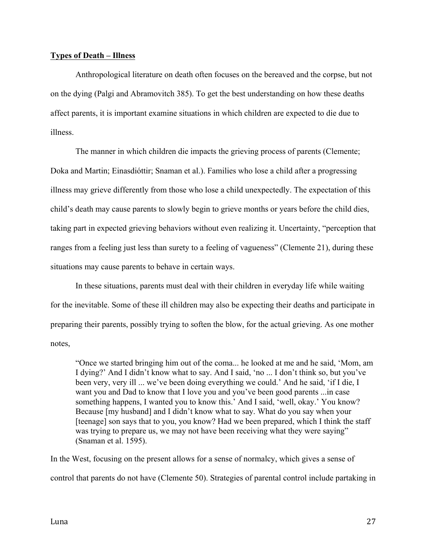# **Types of Death – Illness**

Anthropological literature on death often focuses on the bereaved and the corpse, but not on the dying (Palgi and Abramovitch 385). To get the best understanding on how these deaths affect parents, it is important examine situations in which children are expected to die due to illness.

The manner in which children die impacts the grieving process of parents (Clemente; Doka and Martin; Einasdióttir; Snaman et al.). Families who lose a child after a progressing illness may grieve differently from those who lose a child unexpectedly. The expectation of this child's death may cause parents to slowly begin to grieve months or years before the child dies, taking part in expected grieving behaviors without even realizing it. Uncertainty, "perception that ranges from a feeling just less than surety to a feeling of vagueness" (Clemente 21), during these situations may cause parents to behave in certain ways.

In these situations, parents must deal with their children in everyday life while waiting for the inevitable. Some of these ill children may also be expecting their deaths and participate in preparing their parents, possibly trying to soften the blow, for the actual grieving. As one mother notes,

"Once we started bringing him out of the coma... he looked at me and he said, 'Mom, am I dying?' And I didn't know what to say. And I said, 'no ... I don't think so, but you've been very, very ill ... we've been doing everything we could.' And he said, 'if I die, I want you and Dad to know that I love you and you've been good parents ...in case something happens, I wanted you to know this.' And I said, 'well, okay.' You know? Because [my husband] and I didn't know what to say. What do you say when your [teenage] son says that to you, you know? Had we been prepared, which I think the staff was trying to prepare us, we may not have been receiving what they were saying" (Snaman et al. 1595).

In the West, focusing on the present allows for a sense of normalcy, which gives a sense of control that parents do not have (Clemente 50). Strategies of parental control include partaking in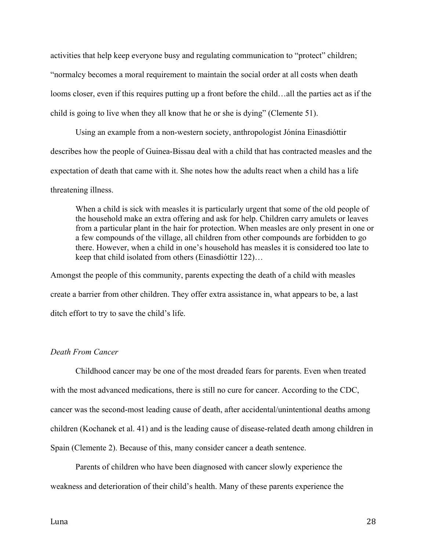activities that help keep everyone busy and regulating communication to "protect" children; "normalcy becomes a moral requirement to maintain the social order at all costs when death looms closer, even if this requires putting up a front before the child…all the parties act as if the child is going to live when they all know that he or she is dying" (Clemente 51).

Using an example from a non-western society, anthropologist Jónína Einasdióttir describes how the people of Guinea-Bissau deal with a child that has contracted measles and the expectation of death that came with it. She notes how the adults react when a child has a life threatening illness.

When a child is sick with measles it is particularly urgent that some of the old people of the household make an extra offering and ask for help. Children carry amulets or leaves from a particular plant in the hair for protection. When measles are only present in one or a few compounds of the village, all children from other compounds are forbidden to go there. However, when a child in one's household has measles it is considered too late to keep that child isolated from others (Einasdióttir 122)…

Amongst the people of this community, parents expecting the death of a child with measles create a barrier from other children. They offer extra assistance in, what appears to be, a last ditch effort to try to save the child's life.

## *Death From Cancer*

Childhood cancer may be one of the most dreaded fears for parents. Even when treated with the most advanced medications, there is still no cure for cancer. According to the CDC, cancer was the second-most leading cause of death, after accidental/unintentional deaths among children (Kochanek et al. 41) and is the leading cause of disease-related death among children in Spain (Clemente 2). Because of this, many consider cancer a death sentence.

Parents of children who have been diagnosed with cancer slowly experience the weakness and deterioration of their child's health. Many of these parents experience the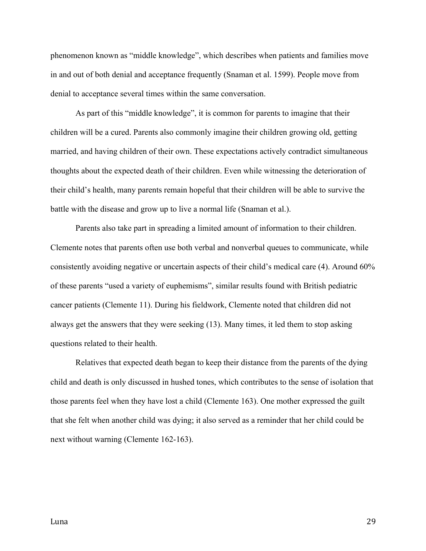phenomenon known as "middle knowledge", which describes when patients and families move in and out of both denial and acceptance frequently (Snaman et al. 1599). People move from denial to acceptance several times within the same conversation.

As part of this "middle knowledge", it is common for parents to imagine that their children will be a cured. Parents also commonly imagine their children growing old, getting married, and having children of their own. These expectations actively contradict simultaneous thoughts about the expected death of their children. Even while witnessing the deterioration of their child's health, many parents remain hopeful that their children will be able to survive the battle with the disease and grow up to live a normal life (Snaman et al.).

Parents also take part in spreading a limited amount of information to their children. Clemente notes that parents often use both verbal and nonverbal queues to communicate, while consistently avoiding negative or uncertain aspects of their child's medical care (4). Around 60% of these parents "used a variety of euphemisms", similar results found with British pediatric cancer patients (Clemente 11). During his fieldwork, Clemente noted that children did not always get the answers that they were seeking (13). Many times, it led them to stop asking questions related to their health.

Relatives that expected death began to keep their distance from the parents of the dying child and death is only discussed in hushed tones, which contributes to the sense of isolation that those parents feel when they have lost a child (Clemente 163). One mother expressed the guilt that she felt when another child was dying; it also served as a reminder that her child could be next without warning (Clemente 162-163).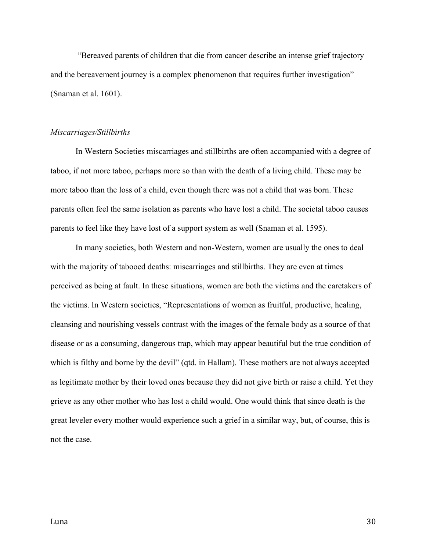"Bereaved parents of children that die from cancer describe an intense grief trajectory and the bereavement journey is a complex phenomenon that requires further investigation" (Snaman et al. 1601).

#### *Miscarriages/Stillbirths*

In Western Societies miscarriages and stillbirths are often accompanied with a degree of taboo, if not more taboo, perhaps more so than with the death of a living child. These may be more taboo than the loss of a child, even though there was not a child that was born. These parents often feel the same isolation as parents who have lost a child. The societal taboo causes parents to feel like they have lost of a support system as well (Snaman et al. 1595).

In many societies, both Western and non-Western, women are usually the ones to deal with the majority of tabooed deaths: miscarriages and stillbirths. They are even at times perceived as being at fault. In these situations, women are both the victims and the caretakers of the victims. In Western societies, "Representations of women as fruitful, productive, healing, cleansing and nourishing vessels contrast with the images of the female body as a source of that disease or as a consuming, dangerous trap, which may appear beautiful but the true condition of which is filthy and borne by the devil" (qtd. in Hallam). These mothers are not always accepted as legitimate mother by their loved ones because they did not give birth or raise a child. Yet they grieve as any other mother who has lost a child would. One would think that since death is the great leveler every mother would experience such a grief in a similar way, but, of course, this is not the case.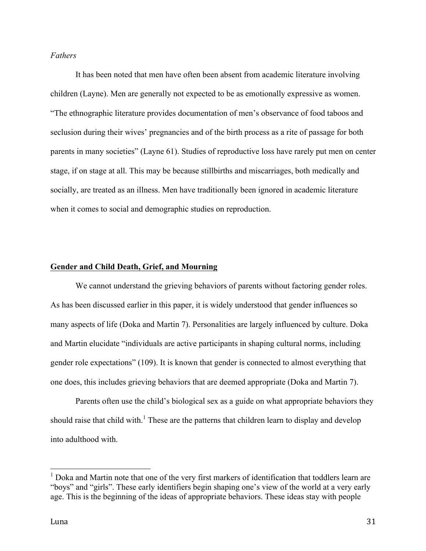# *Fathers*

It has been noted that men have often been absent from academic literature involving children (Layne). Men are generally not expected to be as emotionally expressive as women. "The ethnographic literature provides documentation of men's observance of food taboos and seclusion during their wives' pregnancies and of the birth process as a rite of passage for both parents in many societies" (Layne 61). Studies of reproductive loss have rarely put men on center stage, if on stage at all. This may be because stillbirths and miscarriages, both medically and socially, are treated as an illness. Men have traditionally been ignored in academic literature when it comes to social and demographic studies on reproduction.

#### **Gender and Child Death, Grief, and Mourning**

We cannot understand the grieving behaviors of parents without factoring gender roles. As has been discussed earlier in this paper, it is widely understood that gender influences so many aspects of life (Doka and Martin 7). Personalities are largely influenced by culture. Doka and Martin elucidate "individuals are active participants in shaping cultural norms, including gender role expectations" (109). It is known that gender is connected to almost everything that one does, this includes grieving behaviors that are deemed appropriate (Doka and Martin 7).

Parents often use the child's biological sex as a guide on what appropriate behaviors they should raise that child with.<sup>1</sup> These are the patterns that children learn to display and develop into adulthood with.

 $1$  Doka and Martin note that one of the very first markers of identification that toddlers learn are "boys" and "girls". These early identifiers begin shaping one's view of the world at a very early age. This is the beginning of the ideas of appropriate behaviors. These ideas stay with people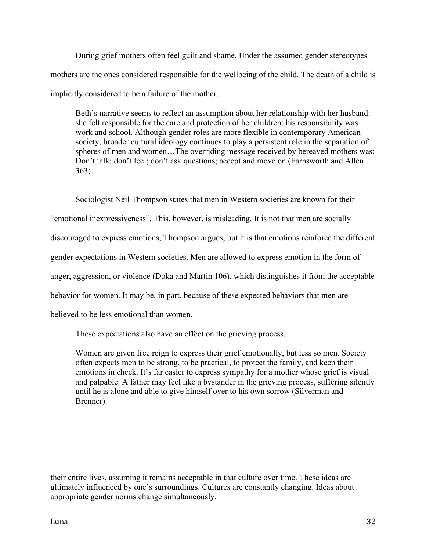During grief mothers often feel guilt and shame. Under the assumed gender stereotypes mothers are the ones considered responsible for the wellbeing of the child. The death of a child is implicitly considered to be a failure of the mother.

Beth's narrative seems to reflect an assumption about her relationship with her husband: she felt responsible for the care and protection of her children; his responsibility was work and school. Although gender roles are more flexible in contemporary American society, broader cultural ideology continues to play a persistent role in the separation of spheres of men and women...The overriding message received by bereaved mothers was: Don't talk; don't feel; don't ask questions; accept and move on (Farnsworth and Allen 363).

Sociologist Neil Thompson states that men in Western societies are known for their

"emotional inexpressiveness". This, however, is misleading. It is not that men are socially

discouraged to express emotions, Thompson argues, but it is that emotions reinforce the different

gender expectations in Western societies. Men are allowed to express emotion in the form of

anger, aggression, or violence (Doka and Martin 106), which distinguishes it from the acceptable

behavior for women. It may be, in part, because of these expected behaviors that men are

believed to be less emotional than women.

These expectations also have an effect on the grieving process.

Women are given free reign to express their grief emotionally, but less so men. Society often expects men to be strong, to be practical, to protect the family, and keep their emotions in check. It's far easier to express sympathy for a mother whose grief is visual and palpable. A father may feel like a bystander in the grieving process, suffering silently until he is alone and able to give himself over to his own sorrow (Silverman and Brenner).

their entire lives, assuming it remains acceptable in that culture over time. These ideas are ultimately influenced by one's surroundings. Cultures are constantly changing. Ideas about appropriate gender norms change simultaneously.

<u> 1989 - Andrea Santa Andrea Santa Andrea Andrea Santa Andrea Andrea Andrea Andrea Andrea Andrea Andrea Andrea</u>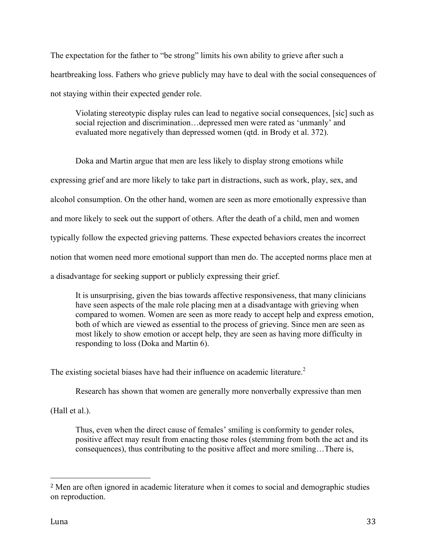The expectation for the father to "be strong" limits his own ability to grieve after such a heartbreaking loss. Fathers who grieve publicly may have to deal with the social consequences of not staying within their expected gender role.

Violating stereotypic display rules can lead to negative social consequences, [sic] such as social rejection and discrimination…depressed men were rated as 'unmanly' and evaluated more negatively than depressed women (qtd. in Brody et al. 372).

Doka and Martin argue that men are less likely to display strong emotions while expressing grief and are more likely to take part in distractions, such as work, play, sex, and alcohol consumption. On the other hand, women are seen as more emotionally expressive than and more likely to seek out the support of others. After the death of a child, men and women typically follow the expected grieving patterns. These expected behaviors creates the incorrect notion that women need more emotional support than men do. The accepted norms place men at a disadvantage for seeking support or publicly expressing their grief.

It is unsurprising, given the bias towards affective responsiveness, that many clinicians have seen aspects of the male role placing men at a disadvantage with grieving when compared to women. Women are seen as more ready to accept help and express emotion, both of which are viewed as essential to the process of grieving. Since men are seen as most likely to show emotion or accept help, they are seen as having more difficulty in responding to loss (Doka and Martin 6).

The existing societal biases have had their influence on academic literature.<sup>2</sup>

Research has shown that women are generally more nonverbally expressive than men

(Hall et al.).

 

Thus, even when the direct cause of females' smiling is conformity to gender roles, positive affect may result from enacting those roles (stemming from both the act and its consequences), thus contributing to the positive affect and more smiling…There is,

<sup>2</sup> Men are often ignored in academic literature when it comes to social and demographic studies on reproduction.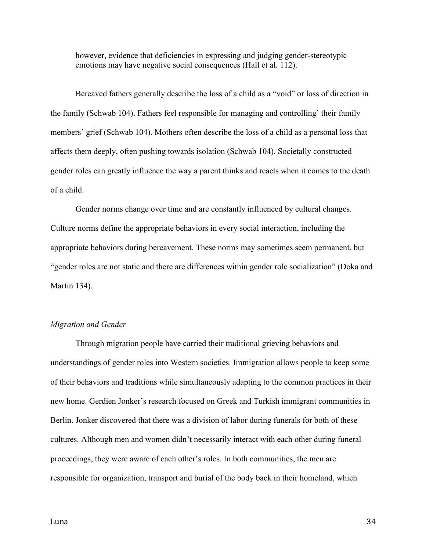however, evidence that deficiencies in expressing and judging gender-stereotypic emotions may have negative social consequences (Hall et al. 112).

Bereaved fathers generally describe the loss of a child as a "void" or loss of direction in the family (Schwab 104). Fathers feel responsible for managing and controlling' their family members' grief (Schwab 104). Mothers often describe the loss of a child as a personal loss that affects them deeply, often pushing towards isolation (Schwab 104). Societally constructed gender roles can greatly influence the way a parent thinks and reacts when it comes to the death of a child.

Gender norms change over time and are constantly influenced by cultural changes. Culture norms define the appropriate behaviors in every social interaction, including the appropriate behaviors during bereavement. These norms may sometimes seem permanent, but "gender roles are not static and there are differences within gender role socialization" (Doka and Martin 134).

## *Migration and Gender*

Through migration people have carried their traditional grieving behaviors and understandings of gender roles into Western societies. Immigration allows people to keep some of their behaviors and traditions while simultaneously adapting to the common practices in their new home. Gerdien Jonker's research focused on Greek and Turkish immigrant communities in Berlin. Jonker discovered that there was a division of labor during funerals for both of these cultures. Although men and women didn't necessarily interact with each other during funeral proceedings, they were aware of each other's roles. In both communities, the men are responsible for organization, transport and burial of the body back in their homeland, which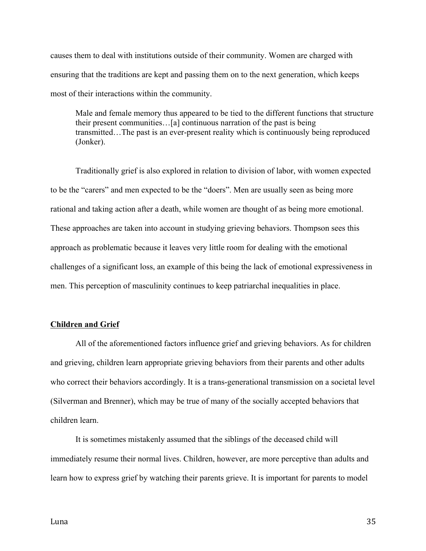causes them to deal with institutions outside of their community. Women are charged with ensuring that the traditions are kept and passing them on to the next generation, which keeps most of their interactions within the community.

Male and female memory thus appeared to be tied to the different functions that structure their present communities…[a] continuous narration of the past is being transmitted…The past is an ever-present reality which is continuously being reproduced (Jonker).

Traditionally grief is also explored in relation to division of labor, with women expected to be the "carers" and men expected to be the "doers". Men are usually seen as being more rational and taking action after a death, while women are thought of as being more emotional. These approaches are taken into account in studying grieving behaviors. Thompson sees this approach as problematic because it leaves very little room for dealing with the emotional challenges of a significant loss, an example of this being the lack of emotional expressiveness in men. This perception of masculinity continues to keep patriarchal inequalities in place.

#### **Children and Grief**

All of the aforementioned factors influence grief and grieving behaviors. As for children and grieving, children learn appropriate grieving behaviors from their parents and other adults who correct their behaviors accordingly. It is a trans-generational transmission on a societal level (Silverman and Brenner), which may be true of many of the socially accepted behaviors that children learn.

It is sometimes mistakenly assumed that the siblings of the deceased child will immediately resume their normal lives. Children, however, are more perceptive than adults and learn how to express grief by watching their parents grieve. It is important for parents to model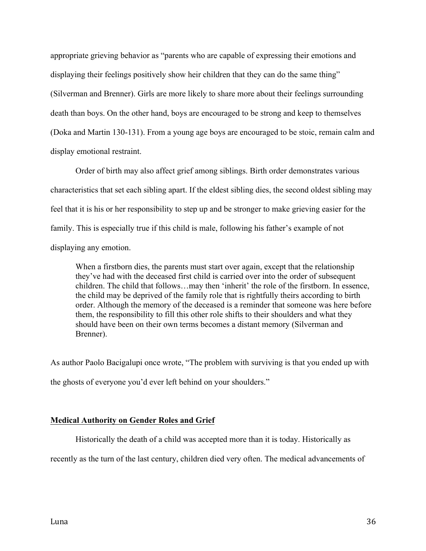appropriate grieving behavior as "parents who are capable of expressing their emotions and displaying their feelings positively show heir children that they can do the same thing" (Silverman and Brenner). Girls are more likely to share more about their feelings surrounding death than boys. On the other hand, boys are encouraged to be strong and keep to themselves (Doka and Martin 130-131). From a young age boys are encouraged to be stoic, remain calm and display emotional restraint.

Order of birth may also affect grief among siblings. Birth order demonstrates various characteristics that set each sibling apart. If the eldest sibling dies, the second oldest sibling may feel that it is his or her responsibility to step up and be stronger to make grieving easier for the family. This is especially true if this child is male, following his father's example of not displaying any emotion.

When a firstborn dies, the parents must start over again, except that the relationship they've had with the deceased first child is carried over into the order of subsequent children. The child that follows…may then 'inherit' the role of the firstborn. In essence, the child may be deprived of the family role that is rightfully theirs according to birth order. Although the memory of the deceased is a reminder that someone was here before them, the responsibility to fill this other role shifts to their shoulders and what they should have been on their own terms becomes a distant memory (Silverman and Brenner).

As author Paolo Bacigalupi once wrote, "The problem with surviving is that you ended up with the ghosts of everyone you'd ever left behind on your shoulders."

# **Medical Authority on Gender Roles and Grief**

Historically the death of a child was accepted more than it is today. Historically as

recently as the turn of the last century, children died very often. The medical advancements of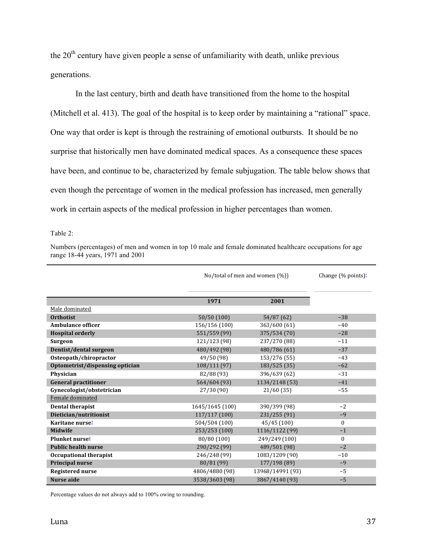the  $20<sup>th</sup>$  century have given people a sense of unfamiliarity with death, unlike previous generations.

In the last century, birth and death have transitioned from the home to the hospital (Mitchell et al. 413). The goal of the hospital is to keep order by maintaining a "rational" space. One way that order is kept is through the restraining of emotional outbursts. It should be no surprise that historically men have dominated medical spaces. As a consequence these spaces have been, and continue to be, characterized by female subjugation. The table below shows that even though the percentage of women in the medical profession has increased, men generally work in certain aspects of the medical profession in higher percentages than women.

Table 2:

Numbers (percentages) of men and women in top 10 male and female dominated healthcare occupations for age range 18-44 years, 1971 and 2001

|                                 | No/total of men and women (%)) |                  | Change $(\%$ points) $*$ |
|---------------------------------|--------------------------------|------------------|--------------------------|
|                                 | 1971                           | 2001             |                          |
| Male dominated                  |                                |                  |                          |
| <b>Orthotist</b>                | 50/50 (100)                    | 54/87 (62)       | $-38$                    |
| Ambulance officer               | 156/156 (100)                  | 363/600 (61)     | $-40$                    |
| <b>Hospital orderly</b>         | 551/559 (99)                   | 375/534 (70)     | $-28$                    |
| Surgeon                         | 121/123 (98)                   | 237/270 (88)     | $-11$                    |
| Dentist/dental surgeon          | 480/492 (98)                   | 480/786 (61)     | $-37$                    |
| Osteopath/chiropractor          | 49/50 (98)                     | 153/276 (55)     | $-43$                    |
| Optometrist/dispensing optician | 108/111 (97)                   | 183/525 (35)     | $-62$                    |
| Physician                       | 82/88 (93)                     | 396/639 (62)     | $-31$                    |
| <b>General practitioner</b>     | 564/604 (93)                   | 1134/2148 (53)   | $-41$                    |
| Gynecologist/obstetrician       | 27/30(90)                      | 21/60(35)        | $-55$                    |
| Female dominated                |                                |                  |                          |
| <b>Dental therapist</b>         | 1645/1645 (100)                | 390/399 (98)     | $-2$                     |
| Dietician/nutritionist          | 117/117 (100)                  | 231/255 (91)     | $-9$                     |
| Karitane nurse <sup>t</sup>     | 504/504 (100)                  | 45/45(100)       | $\mathbf{0}$             |
| <b>Midwife</b>                  | 253/253 (100)                  | 1116/1122 (99)   | $-1$                     |
| Plunket nurse <sup>#</sup>      | 80/80 (100)                    | 249/249 (100)    | $\mathbf{0}$             |
| <b>Public health nurse</b>      | 290/292 (99)                   | 489/501 (98)     | $-2$                     |
| <b>Occupational therapist</b>   | 246/248 (99)                   | 1083/1209 (90)   | $-10$                    |
| Principal nurse                 | 80/81 (99)                     | 177/198 (89)     | $-9$                     |
| <b>Registered nurse</b>         | 4806/4880 (98)                 | 13968/14991 (93) | $-5$                     |
| <b>Nurse aide</b>               | 3538/3603 (98)                 | 3867/4140 (93)   | $-5$                     |

Percentage values do not always add to 100% owing to rounding.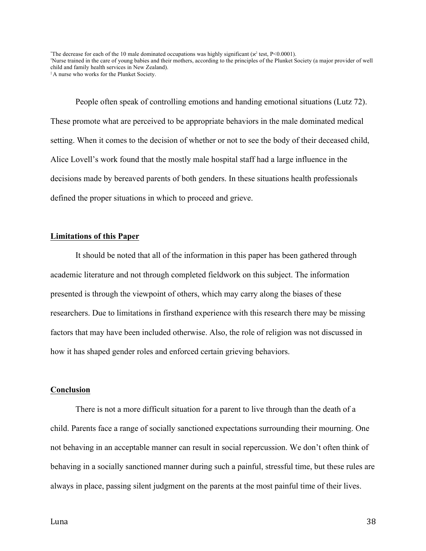"The decrease for each of the 10 male dominated occupations was highly significant ( $\alpha^2$  test, P<0.0001). † Nurse trained in the care of young babies and their mothers, according to the principles of the Plunket Society (a major provider of well child and family health services in New Zealand). ‡ A nurse who works for the Plunket Society.

People often speak of controlling emotions and handing emotional situations (Lutz 72). These promote what are perceived to be appropriate behaviors in the male dominated medical setting. When it comes to the decision of whether or not to see the body of their deceased child, Alice Lovell's work found that the mostly male hospital staff had a large influence in the decisions made by bereaved parents of both genders. In these situations health professionals defined the proper situations in which to proceed and grieve.

#### **Limitations of this Paper**

It should be noted that all of the information in this paper has been gathered through academic literature and not through completed fieldwork on this subject. The information presented is through the viewpoint of others, which may carry along the biases of these researchers. Due to limitations in firsthand experience with this research there may be missing factors that may have been included otherwise. Also, the role of religion was not discussed in how it has shaped gender roles and enforced certain grieving behaviors.

#### **Conclusion**

There is not a more difficult situation for a parent to live through than the death of a child. Parents face a range of socially sanctioned expectations surrounding their mourning. One not behaving in an acceptable manner can result in social repercussion. We don't often think of behaving in a socially sanctioned manner during such a painful, stressful time, but these rules are always in place, passing silent judgment on the parents at the most painful time of their lives.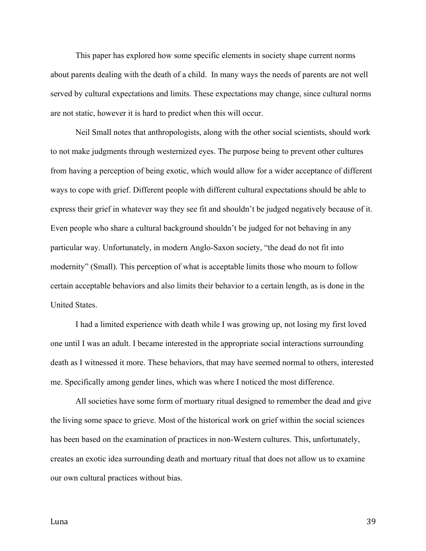This paper has explored how some specific elements in society shape current norms about parents dealing with the death of a child. In many ways the needs of parents are not well served by cultural expectations and limits. These expectations may change, since cultural norms are not static, however it is hard to predict when this will occur.

Neil Small notes that anthropologists, along with the other social scientists, should work to not make judgments through westernized eyes. The purpose being to prevent other cultures from having a perception of being exotic, which would allow for a wider acceptance of different ways to cope with grief. Different people with different cultural expectations should be able to express their grief in whatever way they see fit and shouldn't be judged negatively because of it. Even people who share a cultural background shouldn't be judged for not behaving in any particular way. Unfortunately, in modern Anglo-Saxon society, "the dead do not fit into modernity" (Small). This perception of what is acceptable limits those who mourn to follow certain acceptable behaviors and also limits their behavior to a certain length, as is done in the United States.

I had a limited experience with death while I was growing up, not losing my first loved one until I was an adult. I became interested in the appropriate social interactions surrounding death as I witnessed it more. These behaviors, that may have seemed normal to others, interested me. Specifically among gender lines, which was where I noticed the most difference.

All societies have some form of mortuary ritual designed to remember the dead and give the living some space to grieve. Most of the historical work on grief within the social sciences has been based on the examination of practices in non-Western cultures. This, unfortunately, creates an exotic idea surrounding death and mortuary ritual that does not allow us to examine our own cultural practices without bias.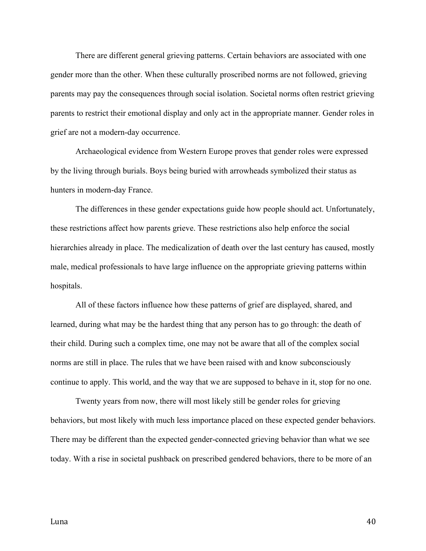There are different general grieving patterns. Certain behaviors are associated with one gender more than the other. When these culturally proscribed norms are not followed, grieving parents may pay the consequences through social isolation. Societal norms often restrict grieving parents to restrict their emotional display and only act in the appropriate manner. Gender roles in grief are not a modern-day occurrence.

Archaeological evidence from Western Europe proves that gender roles were expressed by the living through burials. Boys being buried with arrowheads symbolized their status as hunters in modern-day France.

The differences in these gender expectations guide how people should act. Unfortunately, these restrictions affect how parents grieve. These restrictions also help enforce the social hierarchies already in place. The medicalization of death over the last century has caused, mostly male, medical professionals to have large influence on the appropriate grieving patterns within hospitals.

All of these factors influence how these patterns of grief are displayed, shared, and learned, during what may be the hardest thing that any person has to go through: the death of their child. During such a complex time, one may not be aware that all of the complex social norms are still in place. The rules that we have been raised with and know subconsciously continue to apply. This world, and the way that we are supposed to behave in it, stop for no one.

Twenty years from now, there will most likely still be gender roles for grieving behaviors, but most likely with much less importance placed on these expected gender behaviors. There may be different than the expected gender-connected grieving behavior than what we see today. With a rise in societal pushback on prescribed gendered behaviors, there to be more of an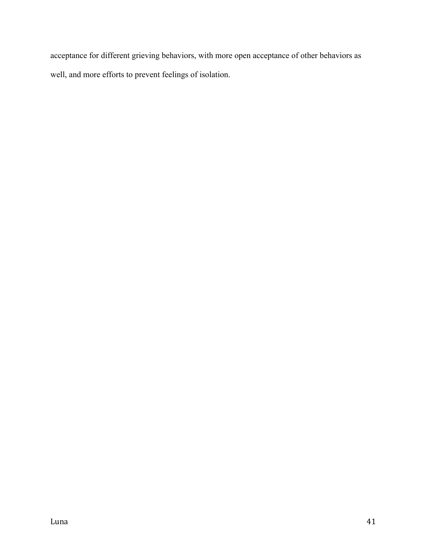acceptance for different grieving behaviors, with more open acceptance of other behaviors as well, and more efforts to prevent feelings of isolation.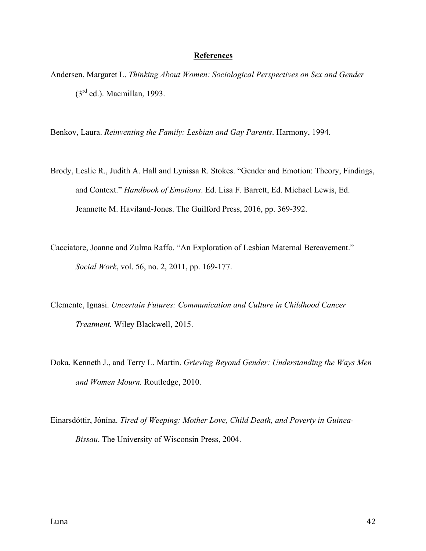#### **References**

Andersen, Margaret L. *Thinking About Women: Sociological Perspectives on Sex and Gender*  $(3<sup>rd</sup>$  ed.). Macmillan, 1993.

Benkov, Laura. *Reinventing the Family: Lesbian and Gay Parents*. Harmony, 1994.

- Brody, Leslie R., Judith A. Hall and Lynissa R. Stokes. "Gender and Emotion: Theory, Findings, and Context." *Handbook of Emotions*. Ed. Lisa F. Barrett, Ed. Michael Lewis, Ed. Jeannette M. Haviland-Jones. The Guilford Press, 2016, pp. 369-392.
- Cacciatore, Joanne and Zulma Raffo. "An Exploration of Lesbian Maternal Bereavement." *Social Work*, vol. 56, no. 2, 2011, pp. 169-177.
- Clemente, Ignasi. *Uncertain Futures: Communication and Culture in Childhood Cancer Treatment.* Wiley Blackwell, 2015.
- Doka, Kenneth J., and Terry L. Martin. *Grieving Beyond Gender: Understanding the Ways Men and Women Mourn.* Routledge, 2010.
- Einarsdóttir, Jónína. *Tired of Weeping: Mother Love, Child Death, and Poverty in Guinea-Bissau*. The University of Wisconsin Press, 2004.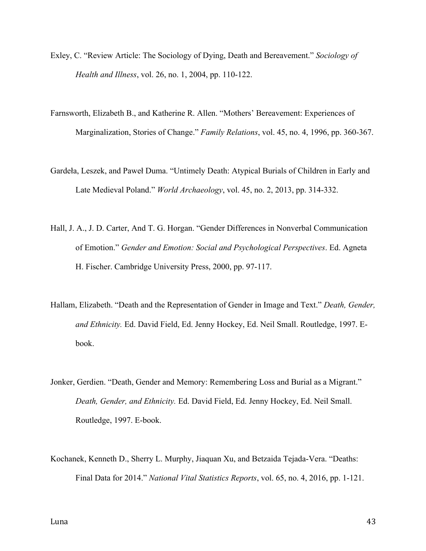- Exley, C. "Review Article: The Sociology of Dying, Death and Bereavement." *Sociology of Health and Illness*, vol. 26, no. 1, 2004, pp. 110-122.
- Farnsworth, Elizabeth B., and Katherine R. Allen. "Mothers' Bereavement: Experiences of Marginalization, Stories of Change." *Family Relations*, vol. 45, no. 4, 1996, pp. 360-367.
- Gardeła, Leszek, and Paweł Duma. "Untimely Death: Atypical Burials of Children in Early and Late Medieval Poland." *World Archaeology*, vol. 45, no. 2, 2013, pp. 314-332.
- Hall, J. A., J. D. Carter, And T. G. Horgan. "Gender Differences in Nonverbal Communication of Emotion." *Gender and Emotion: Social and Psychological Perspectives*. Ed. Agneta H. Fischer. Cambridge University Press, 2000, pp. 97-117.
- Hallam, Elizabeth. "Death and the Representation of Gender in Image and Text." *Death, Gender, and Ethnicity.* Ed. David Field, Ed. Jenny Hockey, Ed. Neil Small. Routledge, 1997. Ebook.
- Jonker, Gerdien. "Death, Gender and Memory: Remembering Loss and Burial as a Migrant." *Death, Gender, and Ethnicity.* Ed. David Field, Ed. Jenny Hockey, Ed. Neil Small. Routledge, 1997. E-book.
- Kochanek, Kenneth D., Sherry L. Murphy, Jiaquan Xu, and Betzaida Tejada-Vera. "Deaths: Final Data for 2014." *National Vital Statistics Reports*, vol. 65, no. 4, 2016, pp. 1-121.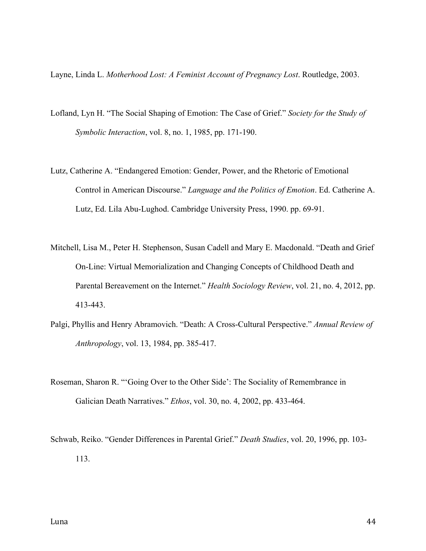Layne, Linda L. *Motherhood Lost: A Feminist Account of Pregnancy Lost*. Routledge, 2003.

- Lofland, Lyn H. "The Social Shaping of Emotion: The Case of Grief." *Society for the Study of Symbolic Interaction*, vol. 8, no. 1, 1985, pp. 171-190.
- Lutz, Catherine A. "Endangered Emotion: Gender, Power, and the Rhetoric of Emotional Control in American Discourse." *Language and the Politics of Emotion*. Ed. Catherine A. Lutz, Ed. Lila Abu-Lughod. Cambridge University Press, 1990. pp. 69-91.
- Mitchell, Lisa M., Peter H. Stephenson, Susan Cadell and Mary E. Macdonald. "Death and Grief On-Line: Virtual Memorialization and Changing Concepts of Childhood Death and Parental Bereavement on the Internet." *Health Sociology Review*, vol. 21, no. 4, 2012, pp. 413-443.
- Palgi, Phyllis and Henry Abramovich. "Death: A Cross-Cultural Perspective." *Annual Review of Anthropology*, vol. 13, 1984, pp. 385-417.
- Roseman, Sharon R. "'Going Over to the Other Side': The Sociality of Remembrance in Galician Death Narratives." *Ethos*, vol. 30, no. 4, 2002, pp. 433-464.
- Schwab, Reiko. "Gender Differences in Parental Grief." *Death Studies*, vol. 20, 1996, pp. 103- 113.